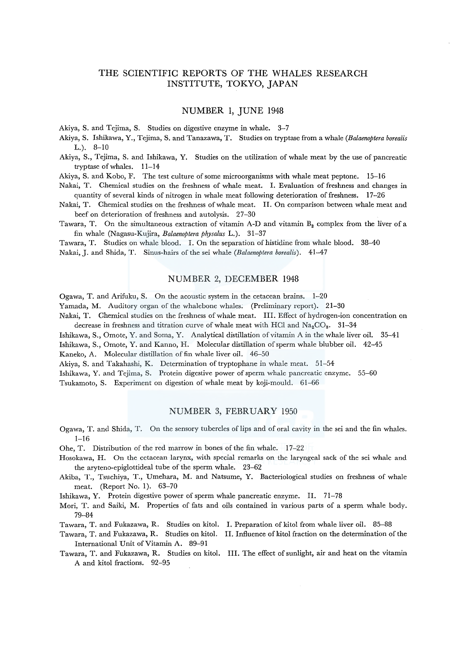## THE SCIENTIFIC REPORTS OF THE WHALES RESEARCH INSTITUTE, TOKYO, JAPAN

### NUMBER 1, JUNE 1948

Akiya, S. and Tejima, S. Studies on digestive enzyme in whale. 3-7

- Akiya, S. Ishikawa, Y., Tejima, S. and Tanazawa, T. Studies on tryptase from a whale *(Balaenoptera borealis*  L.). 8-10
- Akiya, S., Tejima, S. and Ishikawa, Y. Studies on the utilization of whale meat by the use of pancreatic tryptase of whales. 11-14

Akiya, S. and Kobo, F. The test culture of some microorganisms with whale meat peptone. 15-16

Nakai, T. Chemical studies on the freshness of whale meat. I. Evaluation of freshness and changes in quantity of several kinds of nitrogen in whale meat following deterioration of freshness. 17-26

Nakai, T. Chemical studies on the freshness of whale meat. II. On comparison between whale meat and beef on deterioration of freshness and autolysis. 27-30

Tawara, T. On the simultaneous extraction of vitamin A-D and vitamin  $B_2$  complex from the liver of a fin whale (Nagasu-Kujira, *Balaenoptera physalus* L.). 31-37

Tawara, T. Studies on whale blood. I. On the separation of histidine from whale blood. 38-40 Nakai, J. and Shida, T. Sinus-hairs of the sei whale *(Balaenoptera borealis).* 41-47

### NUMBER 2, DECEMBER 1948

Ogawa, T. and Arifuku, S. On the acoustic system in the cetacean brains. 1-20

Yamada, M. Auditory organ of the whalebone whales; (Preliminary report). 21-30

Nakai, T. Chemical studies on the freshness of whale meat. III. Effect of hydrogen-ion concentration on decrease in freshness and titration curve of whale meat with HCl and  $\text{Na}_2\text{CO}_3$ . 31-34

Ishikawa, S., Omote, Y. and Soma, Y. Analytical distillation of vitamin A in the whale liver oil. 35-41

Ishikawa, S., Omote, Y. and Kanno, H. Molecular distillation of sperm whale blubber oil. 42-45

Kaneko, A. Molecular distillation of fin whale liver oil. 46-50

Akiya, S. and Takahashi, K. Determination of tryptophane in whale meat. 51–54

Ishikawa, Y. and Tejima, S. Protein digestive power of sperm whale pancreatic enzyme. 55-60 Tsukamoto, S. Experiment on digestion of whale meat by koji-mould. 61-66

## NUMBER 3, FEBRUARY 1950

- Ogawa, T. and Shida, T. On the sensory tubercles of lips and of oral cavity in the sei and the fin whales. 1-16
- Ohe, T. Distribution of the red marrow in bones of the fin whale. 17-22
- Hosokawa, H. On the cetacean larynx, with special remarks on the laryngeal sack of the sei whale and the aryteno-epiglottideal tube of the sperm whale. 23-62
- Akiba, T., Tsuchiya, T., Umehara, M. and Natsume, Y. Bacteriological studies on freshness of whale meat. (Report No. 1). 63-70

Ishikawa, Y. Protein digestive power of sperm whale pancreatic enzyme. II. 71-78

Mori, T. and Saiki, M. Properties of fats and oils contained in various parts of a sperm whale body. 79-84

Tawara, T. and Fukazawa, R. Studies on kitol. I. Preparation of kitol from whale liver oil. 85-88

- Tawara, T. and Fukazawa, R. Studies on kitol. II. Influence ofkitol fraction on the determination of the International Unit of Vitamin A. 89-91
- Tawara, T. and Fukazawa, R. Studies on kitol. III. The effect of sunlight, air and heat on the vitamin A and kitol fractions. 92-95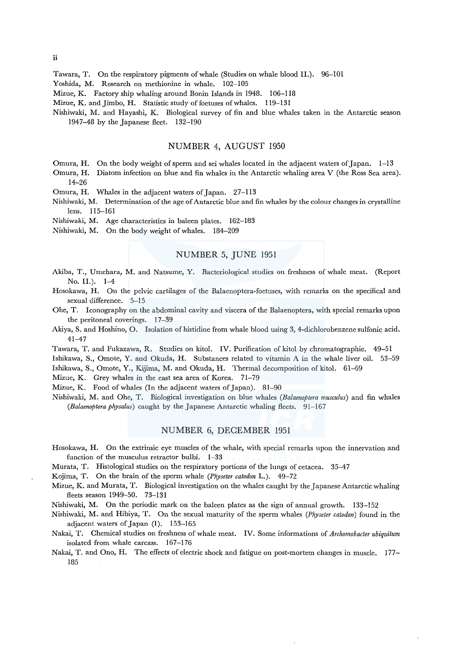ii

Tawara, T. On the respiratory pigments of whale (Studies on whale blood II.). 96-101

Yoshida, M. Research on methionine in whale. 102-105

Mizue, K. Factory ship whaling around Bonin Islands in 1948. 106-118

Mizue, K. and Jimbo, H. Statistic study of foetuses of whales. 119-131

Nishiwaki, M. and Hayashi, K. Biological survey of fin and blue whales taken in the Antarctic season 1947-48 by the Japanese fleet. 132-190

## NUMBER 4, AUGUST 1950

Omura, H. On the body weight of sperm and sei whales located in the adjacent waters of Japan. 1-13

Omura, H. Diatom infection on blue and fin whales in the Antarctic whaling area V (the Ross Sea area). 14-26

Omura, H. Whales in the adjacent waters of Japan. 27-113

Nishiwaki, M. Determination of the age of Antarctic blue and fin whales by the colour changes in crystalline lens. 115-161

Nishiwaki, M. Age characteristics in baleen plates. 162-183

Nishiwaki, M. On the body weight of whales. 184-209

## NUMBER 5, JUNE 1951

- Akiba, T., Umehara, M. and Natsume, Y. Bacteriological studies on freshness of whale meat. (Report No. II.). 1-4
- Hosokawa, H. On the pelvic cartilages of the Balaenoptera-foetuses, with remarks on the specifical and sexual difference. 5-15
- Ohe, T. Iconography on the abdominal cavity and viscera of the Balaenoptera, with special remarks upon the peritoneal coverings. 17-39
- Akiya, S. and Hoshino, 0. Isolation of histidine from whale blood using 3, 4-dichlorobenzene sulfonic acid. 41-47

Tawara, T. and Fukazawa, R. Studies on kitol. IV. Purification of kitol by chromatographie. 49-51 Ishikawa, S., Omote, Y. and Okuda, H. Substances related to vitamin A in the whale liver oil. 53-59

Ishikawa, S., Omote, Y., Kijima, M. and Okuda, H. Thermal decomposition of kitol. 61-69

Mizue, K. Grey whales in the east sea area of Korea. 71-79

Mizue, K. Food of whales (In the adjacent waters of Japan). 81-90

Nishiwaki, M. and Ohe, T. Biological investigation on blue whales *(Balaenoptera musculus)* and fin whales *(Balaenoptera physalus)* caught by the Japanese Antarctic whaling fleets. 91-167

## NUMBER 6, DECEMBER 1951

Hosokawa, H. On the extrinsic eye muscles of the whale, with special remarks upon the innervation and function of the musculus retractor bulbi. 1-33

Murata, T. Histological studies on the respiratory portions of the lungs of cetacea. 35-47

Kojima, T. On the brain of the sperm whale *(Physeter catodon* L.). 49-72

Mizue, K. and Murata, T. Biological investigation on the whales caught by the Japanese Antarctic whaling fleets season 1949-50. 73-131

Nishiwaki, M. On the periodic mark on the baleen plates as the sign of annual growth. 133-152

- Nishiwaki, M. and Hibiya, T. On the sexual maturity of the sperm whales *(Physeter catodon)* found in the adjacent waters of Japan (I). 153-165
- Nakai, T. Chemical studies on freshness of whale meat. IV. Some informations of *Archomobacter ubiquitum*  isolated from whale carcass. 167-176

### Nakai, T. and Ono, H. The effects of electric shock and fatigue on post-mortem changes in muscle. 177- 185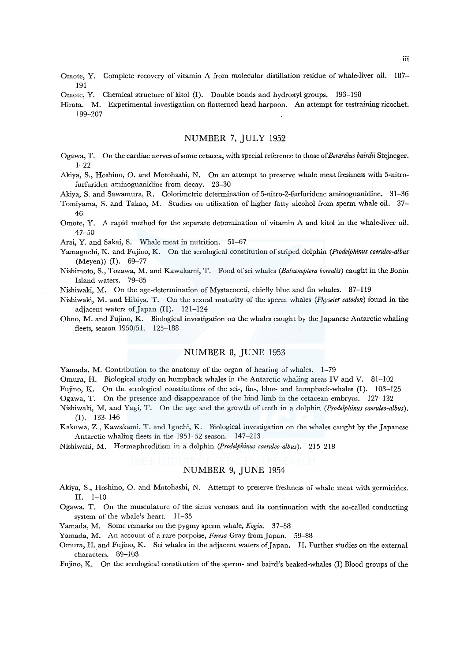- Omote, Y. Complete recovery of vitamin A from molecular distillation residue of whale-liver oil. 187- 191
- Omote, Y. Chemical structure of kitol (I). Double bonds and hydroxyl groups. 193-198
- Hirata. M. Experimental investigation on flatterned head harpoon. An attempt for restraining ricochet. 199-207

## NUMBER 7, JULY 1952

- Ogawa, T. On the cardiac nerves of some cetacea, with special reference to those *ofBerardius bairdii* Stejneger. 1-22
- Akiya, S., Hoshino, 0. and Motohashi, N. On an attempt to preserve whale meat freshness with 5-nitrofurfuriden aminoguanidine from decay. 23-30

Akiya, S. and Sawamura, R. Colorimetric determination of 5-nitro-2-furfuridene aminoguanidine. 31–36

Tomiyama, S. and Takao, M. Studies on utilization of higher fatty alcohol from sperm whale oil. 37- 46

Omote, Y. A rapid method for the separate determination of vitamin A and kitol in the whale-liver oil. 47-50

Arai, Y. and Sakai, S. Whale meat in nutrition. 51-67

- Yamaguchi, K. and Fujino, K. On the serological constitution of striped dolphin *(Prodelphinus caeruleo-albus*  (Meyen)) (I). 69-77
- Nishimoto, S., Tozawa, M. and Kawakami, T. Food ofsei whales *(Balaenoptera borealis)* caught in the Bonin Island waters. 79-85
- Nishiwaki, M. On the age-determination of Mystacoceti, chiefly blue and fin whales. 87-119
- Nishiwaki, M. and Hibiya, T. On the sexual maturity of the sperm whales *(Physeter catodon)* found in the adjacent waters of Japan (II). 121-124
- Ohno, M. and Fujino, K. Biological investigation on the whales caught by the Japanese Antarctic whaling fleets, season 1950/51. 125-188

## NUMBER 8, JUNE 1953

Yamada, M. Contribution to the anatomy of the organ of hearing of whales. 1-79

Omura, H. Biological study on humpback whales in the Antarctic whaling areas IV and V. 81-102

Fujino, K. On the serological constitutions of the sei-, fin-, blue- and humpback-whales (I). 103-125

Ogawa, T. On the presence and disappearance of the hind limb in the cetacean embryos. 127-132

- Nishiwaki, M. and Yagi, T. On the age and the growth of teeth in a dolphin *(Prodelphinus caeruleo-albus).*  (I). 133-146
- Kakuwa, Z., Kawakami, T. and Iguchi, K. Biological investigation on the whales caught by the Japanese Antarctic whaling fleets in the 1951-52 season. 147-213

Nishiwaki, M. Hermaphroditism in a dolphin *(Prodelphinus caeruleo-albus).* 215-218

# NUMBER 9, JUNE 1954

- Akiya, S., Hoshino, 0. and Motohashi, N. Attempt to preserve freshness of whale meat with germicides. II. 1-10
- Ogawa, T. On the musculature of the sinus venosus and its continuation with the so-called conducting system of the whale's heart. 11-35
- Yamada, M. Some remarks on the pygmy sperm whale, *Kogia.* 37-58

Yamada, M. An account of a rare porpoise, *Feresa* Gray from Japan. 59-88

Omura, H. and Fujino, K. Sei whales in the adjacent waters of Japan. II. Further studies on the external characters. 89-103

Fujino, K. On the serological constitution of the sperm- and baird's beaked-whales (I) Blood groups of the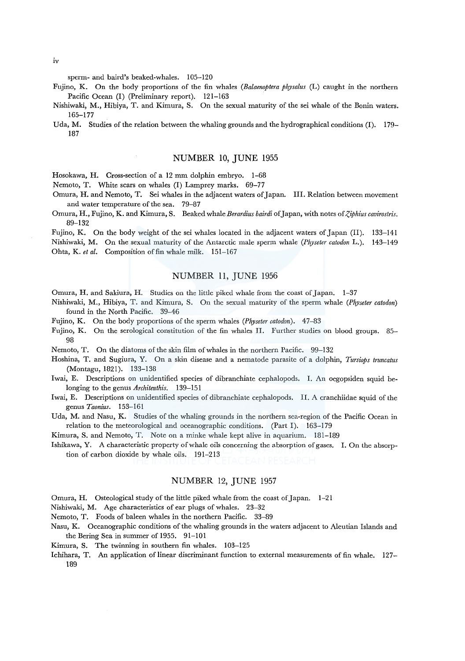sperm- and baird's beaked-whales. 105-120

- Fujino, K. On the body proportions of the fin whales *(Balaenoptera physalus* (L) caught in the northern Pacific Ocean (I) (Preliminary report). 121-163
- Nishiwaki, M., Hibiya, T. and Kimura, S. On the sexual maturity of the sei whale of the Bonin waters. 165-177

Uda, M. Studies of the relation between the whaling grounds and the hydrographical conditions (I). 179- 187

### NUMBER 10, JUNE 1955

Hosokawa, H. Cross-section of a 12 mm dolphin embryo. 1-68

Nemoto, T. White scars on whales (I) Lamprey marks. 69-77

- Omura, H. and Nemoto, T. Sei whales in the adjacent waters of Japan. Ill. Relation between movement and water temperature of the sea. 79-87
- Omura, H., Fujino, K. and Kimura, S. Beaked whale Berardius bairdi of Japan, with notes of *Ziphius cavirostris*. 89-132

Fujino, K. On the body weight of the sei whales located in the adjacent waters of Japan (II). 133-141 Nishiwaki, M. On the sexual maturity of the Antarctic male sperm whale *(Physeter catodon* L.). 143-149 Ohta, K. *et al.* Composition of fin whale milk. 151-167

## NUMBER 11, JUNE 1956

Omura, H. and Sakiura, H. Studies on the little piked whale from the coast of Japan. 1-37

- Nishiwaki, M., Hibiya, T. and Kimura, S. On the sexual maturity of the sperm whale *(Physeter catodon)*  found in the North Pacific. 39-46
- Fujino, K. On the body proportions of the sperm whales *(Physeter catodon).* 47-83
- Fujino, K. On the serological constitution of the fin whales II. Further studies on blood groups. 85- 98

Nemoto, T. On the diatoms of the skin film of whales in the northern Pacific. 99-132

- Hoshina, T. and Sugiura, Y. On a skin disease and a nematode parasite of a dolphin, *Tursiops truncatus*  (Montagu, 1821). 133-138
- Iwai, E. Descriptions on unidentified species of dibranchiate cephalopods. I. An oegopsiden squid belonging to the genus *Architeuthis.* 139-151
- Iwai, E. Descriptions on unidentified species of dibranchiate cephalopods. II. A cranchiidae squid of the genus *Taonius.* 153-161
- Uda, M. and Nasu, K. Studies of the whaling grounds in the northern sea-region of the Pacific Ocean in relation to the meteorological and oceanographic conditions. (Part I). 163-179

Kimura, S. and Nemoto, T. Note on a minke whale kept alive in aquarium. 181-189

Ishikawa, Y. A characteristic property of whale oils concerning the absorption of gases. I. On the absorption of carbon dioxide by whale oils. 191-213

# NUMBER 12, JUNE 1957

Omura, H. Osteological study of the little piked whale from the coast of Japan. 1-21

Nishiwaki, M. Age characteristics of ear plugs of whales. 23-32

Nemoto, T. Foods of baleen whales in the northern Pacific. 33-89

- Nasu, K. Oceanographic conditions of the whaling grounds in the waters adjacent to Aleutian Islands and the Bering Sea in summer of 1955. 91-101
- Kimura, S. The twinning in southern fin whales. 103-125
- Ichihara, T. An application of linear discriminant function to external measurements of fin whale. 127- 189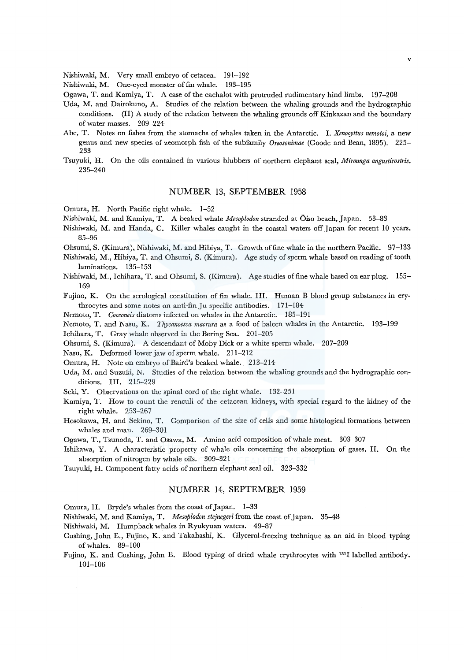Nishiwaki, M. Very small embryo of cetacea. 191-192

Nishiwaki, M. One-eyed monster of fin whale. 193-195

- Ogawa, T. and Kamiya, T. A case of the cachalot with protruded rudimentary hind limbs. 197-208
- Uda, M. and Dairokuno, A. Studies of the relation between the whaling grounds and the hydrographic conditions. (II) A study of the relation between the whaling grounds off Kinkazan and the boundary of water masses. 209-224
- Abe, T. Notes on fishes from the stomachs of whales taken in the Antarctic. I. *Xenoryttus nemotoi,* a new genus and new species of zeomorph fish of the subfamily *Oreosonimae* (Goode and Bean, 1895). 225- 233
- Tsuyuki, H. On the oils contained in various blubbers of northern elephant seal, *Mirounga angustirostris.*  235-240

### NUMBER 13, SEPTEMBER 1958

Omura, H. North Pacific right whale. 1-52

Nishiwaki, M. and Kamiya, T. A beaked whale *Mesoplodon* stranded at Oiso beach, Japan. 53-83

- Nishiwaki, M. and Randa, C. Killer whales caught in the coastal waters off Japan for recent 10 years. 85-96
- Ohsumi, S. (Kimura), Nishiwaki, M. and Hibiya, T. Growth of fine whale in the northern Pacific. 97-133
- Nishiwaki, M., Hibiya, T. and Ohsumi, S. (Kimura). Age study of sperm whale based on reading of tooth laminations. 135-153
- Nishiwaki, M., Ichihara, T. and Ohsumi, S. (Kimura). Age studies of fine whale based on ear plug. 155- 169

Fujino, K. On the serological constitution of fin whale. III. Human B blood group substances in erythrocytes and some notes on anti-fin Ju specific antibodies. 171-184

Nemoto, T. *Cocconeis* diatoms infected on whales in the Antarctic. 185-191

Nemoto, T. and Nasu, K. *Thysanoessa macrura* as a food of baleen whales in the Antarctic. 193-199

Ichihara, T. Gray whale observed in the Bering Sea. 201-205

Ohsumi, S. (Kimura). A descendant of Moby Dick or a white sperm whale. 207-209

Nasu, K. Deformed lower jaw of sperm whale. 211-212

Omura, H. Note on embryo of Baird's beaked whale. 213-214

- Uda, M. and Suzuki, N. Studies of the relation between the whaling grounds and the hydrographic conditions. III. 215-229
- Seki, Y. Observations on the spinal cord of the right whale. 132-251
- Kamiya, T. How to count the renculi of the cetacean kidneys, with special regard to the kidney of the right whale. 253-267
- Hosokawa, H. and Sekino, T. Comparison of the size of cells and some histological formations between whales and man. 269-301

Ogawa, T., Tsunoda, T. and Osawa, M. Amino acid composition of whale meat. 303-307

Ishikawa, Y. A characteristic property of whale oils concerning the absorption of gases. II. On the absorption of nitrogen by whale oils. 309-321

Tsuyuki, H. Component fatty acids of northern elephant seal oil. 323-332

### NUMBER 14, SEPTEMBER 1959

Omura, H. Bryde's whales from the coast of Japan. 1-33

Nishiwaki, M. and Kamiya, T. *Mesoplodon stejnegeri* from the coast of Japan. 35-48

- Nishiwaki, M. Humpback whales in Ryukyuan waters. 49-87
- Cushing, John E., Fujino, K. and Takahashi, K. Glycerol-freezing technique as an aid in blood typing ofwhales. 89-100
- Fujino, K. and Cushing, John E. Blood typing of dried whale erythrocytes with 1311 labelled antibody. 101-106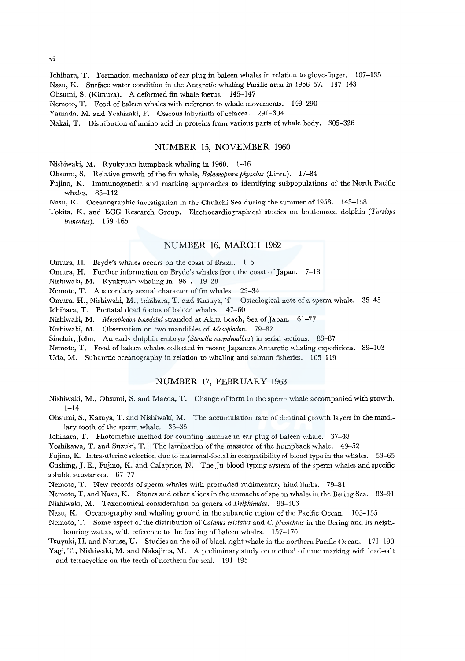Ichihara, T. Formation mechanism of ear plug in baleen whales in relation to glove-finger. 107-135 Nasu, K. Surface water condition in the Antarctic whaling Pacific area in 1956-57. 137-143 Ohsumi, S. (Kimura). A deformed fin whale foetus. 145-147

Nemoto, T. Food of baleen whales with reference to whale movements. 149-290

Yamada, M. and Yoshizaki, F. Osseous labyrinth of cetacea. 291-304

Nakai, T. Distribution of amino acid in proteins from various parts of whale body. 305-326

## NUMBER 15, NOVEMBER 1960

Nishiwaki, M. Ryukyuan humpback whaling in 1960. 1-16

Ohsumi, S. Relative growth of the fin whale, *Balaenoptera physalus* (Linn.). 17-84

Fujino, K. lmmunogenetic and marking approaches to identifying subpopulations of the North Pacific whales. 85-142

Nasu, K. Oceanographic investigation in the Chukchi Sea during the summer of 1958. 143-158

Tokita, K. and ECG Research Group. Electrocardiographical studies on bottlenosed dolphin *(Tursiops truncatus).* 159-165

## NUMBER 16, MARCH 1962

Omura, H. Bryde's whales occurs on the coast of Brazil. 1-5

Omura, H. Further information on Bryde's whales from the coast of Japan. 7-18

Nishiwaki, M. Ryukyuan whaling in 1961. 19-28

Nemoto, T. A secondary sexual character of fin whales. 29-34

Omura, H., Nishiwaki, M., Ichihara, T. and Kasuya, T. Osteological note of a sperm whale. 35-45

Ichihara, T. Prenatal dead foetus of baleen whales. 47-60

Nishiwaki, M. *Mesoplodon bowdoini* stranded at Akita beach, Sea of Japan. 61-77

Nishiwaki, M. Observation on two mandibles of *Mesoplodon.* 79-82

Sinclair, John. An early dolphin embryo *(Stenella caeruleoalbus)* in serial sections. 83-87

Nemoto, T. Food of baleen whales collected in recent Japanese Antarctic whaling expeditions. 89-103

Uda, M. Subarctic oceanography in relation to whaling and salmon fisheries. 105-119

## NUMBER 17, FEBRUARY 1963

Nishiwaki, M., Ohsumi, S. and Maeda, T. Change of form in the sperm whale accompanied with growth.  $1 - 14$ 

Ohsumi, S., Kasuya, T. and Nishiwaki, M. The accumulation rate of dentinal growth layers in the maxillary tooth of the sperm whale. 35-35

Ichihara, T. Photometric method for counting laminae in ear plug of baleen whale. 37-48

Yoshikawa, T. and Suzuki, T. The lamination of the masseter of the humpback whale. 49-52

Fujino, K. Intra-uterine selection due to maternal-foetal in compatibility of blood type in the whales. 53-65

Cushing, J.E., Fujino, K. and Calaprice, N. The Ju blood typing system of the sperm whales and specific soluble substances. 67-77

Nemoto, T. New records of sperm whales with protruded rudimentary hind limbs. 79-81

Nemoto, T. and Nasu, K. Stones and other aliens in the stomachs of sperm whales in the Bering Sea. 83-91 Nishiwaki, M. Taxonomical consideration on genera of *Delphinidae.* 93-103

Nasu, K. Oceanography and whaling ground in the subarctic region of the Pacific Ocean. 105-155

N emoto, T. Some aspect of the distribution of *Calanus cristatus* and *C. plumchrus* in the Bering and its neighbouring waters, with reference to the feeding of baleen whales. 157-170

Tsuyuki, H. and Naruse, U. Studies on the oil of black right whale in the northern Pacific Ocean. 171-190 Yagi, T., Nishiwaki, M. and Nakajima, M. A preliminary study on method of time marking with lead-salt

and tetracycline on the teeth of northern fur seal. 191-195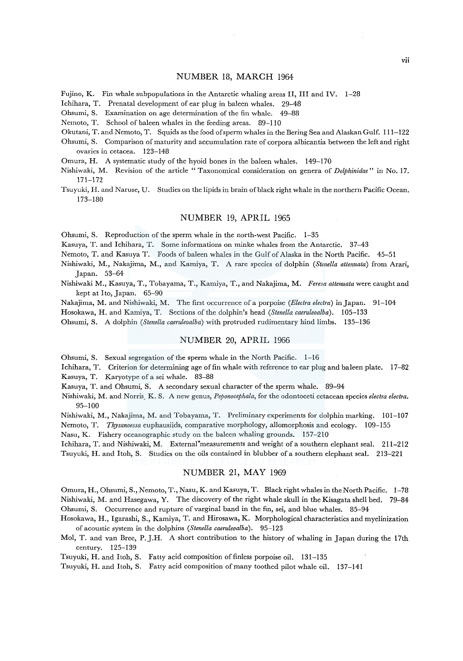### NUMBER 18, MARCH 1964

Fujino, K. Fin whale subpopulations in the Antarctic whaling areas II, III and IV. 1-28

Ichihara, T. Prenatal development of ear plug in baleen whales. 29-48

Ohsumi, S. Examination on age determination of the fin whale. 49-88

Nemoto, T. School of baleen whales in the feeding areas. 89-110

- Okutani, T. and Nemoto, T. Squids as the food of sperm whales in the Bering Sea and Alaskan Gulf. 111-122
- Ohsumi, S. Comparison of maturity and accumulation rate of corpora albicantia between the left and right ovaries in cetacea. 123-148
- Omura, H. A systematic study of the hyoid bones in the baleen whales. 149-170
- Nishiwaki, M. Revision of the article "Taxonomical consideration on genera of *Delphinidae"* in No. 17. 171-172
- Tsuyuki, H. and Naruse, U. Studies on the lipids in brain of black right whale in the northern Pacific Ocean. 173-180

#### NUMBER 19, APRIL 1965

Ohsumi, S. Reproduction of the sperm whale in the north-west Pacific. 1-35

Kasuya, T. and Ichihara, T. Some informations on minke whales from the Antarctic. 37-43

Nemoto, T. and Kasuya T. Foods of baleen whales in the Gulf of Alaska in the North Pacific. 45-51

- Nishiwaki, M., Nakajima, M., and Kamiya, T. A rare species of dolphin *(Stenella attenuata)* from Arari, Japan. 53-64
- Nishiwaki M., Kasuya, T., Tobayama, T., Kamiya, T., and Nakajima, M. *Feresa attenuata* were caught and kept at Ito, Japan. 65-90

Nakajima, M. and Nishiwaki, M. The first occurrence of a porpoise *(Electra electra)* in Japan. 91-104

Hosokawa, H. and Kamiya, T. Sections of the dolphin's head *(Stenella caeruleoalba).* 105-133

Ohsumi, S. A dolphin *(Stenella caeruleoalba)* with protruded rudimentary hind limbs. 135-136

## NUMBER 20, APRIL 1966

Ohsumi, S. Sexual segregation of the sperm whale in the North Pacific. 1-16

Ichihara, T. Criterion for determining age of fin whale with reference to ear plug and baleen plate. 17-82 Kasuya, T. Karyotype of a sei whale. 83-88

Kasuya, T. and Ohsumi, S. A secondary sexual character of the sperm whale. 89-94

Nishiwaki, M. and Norris, K. S. A new genus, *Peponocephala,* for the odontoceti cetacean species *electra electra.*  95-100

Nishiwaki, M., Nakajima, M. and Tobayama, T. Preliminary experiments for dolphin marking. 101-107

Nemoto, T. *Thysanoessa* euphausiids, comparative morphology, allomorphosis and ecology. 109-155

Nasu, K. Fishery oceanographic study on the baleen whaling grounds. 157-210

Ichihara, T. and Nishiwaki, M. External measurements and weight of a southern elephant seal. 211-212 Tsuyuki, H. and Itoh, S. Studies on the oils contained in blubber of a southern elephant seal. 213-221

#### NUMBER 21, MAY 1969

Omura, H., Ohsumi, S., Nemoto, T., Nasu, K. and Kasuya, T. Black right whales in the North Pacific. 1-78 Nishiwaki, M. and Hasegawa, Y. The discovery of the right whale skull in the Kisagata shell bed. 79-84 Ohsumi, S. Occurrence and rupture of varginal band in the fin, sei, and blue whales. 85-94

- Hosokawa, H., lgarashi, S., Kamiya, T. and Hirosawa, K. Morphological characteristics and myelinization of acoustic system in the dolphins *(Stenella caeruleoalba).* 95-123
- Mol, T. and van Bree, P.J.H. A short contribution to the history of whaling in Japan during the 17th century. 125-139

Tsuyuki, H. and Itoh, S. Fatty acid composition of finless porpoise oil. 131-135

Tsuyuki, H. and Itoh, S. Fatty acid composition of many toothed pilot whale oil. 137-141